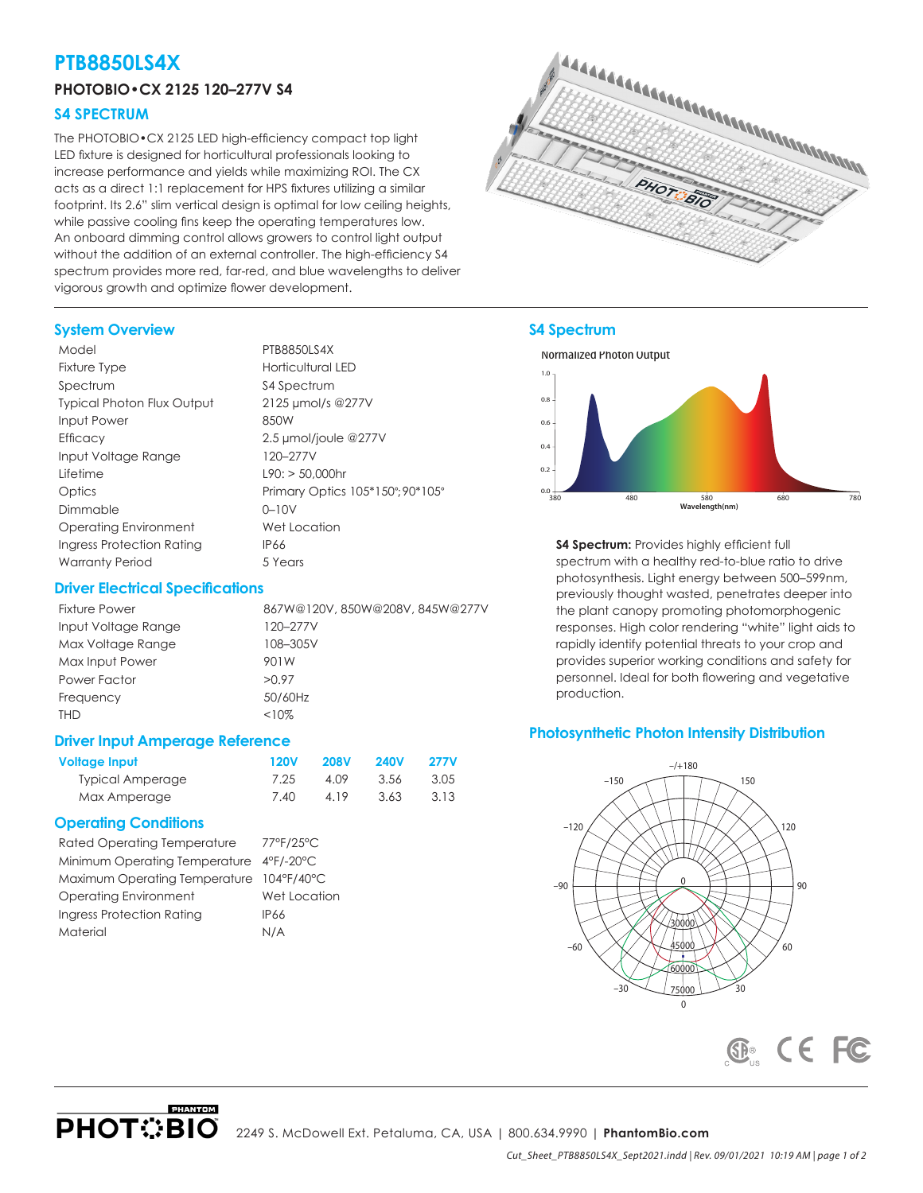## **PTB8850LS4X**

## **PHOTOBIO•CX 2125 120–277V S4**

## **S4 SPECTRUM**

The PHOTOBIO•CX 2125 LED high-efficiency compact top light LED fixture is designed for horticultural professionals looking to increase performance and yields while maximizing ROI. The CX acts as a direct 1:1 replacement for HPS fixtures utilizing a similar footprint. Its 2.6" slim vertical design is optimal for low ceiling heights, while passive cooling fins keep the operating temperatures low. An onboard dimming control allows growers to control light output without the addition of an external controller. The high-efficiency \$4 spectrum provides more red, far-red, and blue wavelengths to deliver vigorous growth and optimize flower development.



# **S4 Spectrum S4 SPECTRUM**



**S4 Spectrum:** Provides highly efficient full spectrum with a healthy red-to-blue ratio to drive photosynthesis. Light energy between 500–599nm, previously thought wasted, penetrates deeper into the plant canopy promoting photomorphogenic responses. High color rendering "white" light aids to rapidly identify potential threats to your crop and provides superior working conditions and safety for personnel. Ideal for both flowering and vegetative production.

### **Photosynthetic Photon Intensity Distribution**



## **System Overview**

| Model                             | PTB8850LS4X                      |
|-----------------------------------|----------------------------------|
| Fixture Type                      | Horticultural LED                |
| Spectrum                          | \$4 Spectrum                     |
| <b>Typical Photon Flux Output</b> | 2125 µmol/s @277V                |
| Input Power                       | 850W                             |
| <b>Efficacy</b>                   | 2.5 µmol/joule @277V             |
| Input Voltage Range               | 120-277V                         |
| Lifetime                          | $L90:$ > 50,000hr                |
| Optics                            | Primary Optics 105*150°; 90*105° |
| Dimmable                          | $0 - 10V$                        |
| Operating Environment             | Wet Location                     |
| Ingress Protection Rating         | <b>IP66</b>                      |
| <b>Warranty Period</b>            | 5 Years                          |

## **Driver Electrical Specifications**

| <b>Fixture Power</b> | 867W@120V, 850W@208V, 845W@277V |
|----------------------|---------------------------------|
| Input Voltage Range  | 120-277V                        |
| Max Voltage Range    | 108-305V                        |
| Max Input Power      | 901W                            |
| Power Factor         | >0.97                           |
| Frequency            | 50/60Hz                         |
| THD                  | $<10\%$                         |

### **Driver Input Amperage Reference**

| Voltage Input           | <b>120V</b> | <b>208V</b> | <b>240V</b> | <b>277V</b> |
|-------------------------|-------------|-------------|-------------|-------------|
| <b>Typical Amperage</b> | 7.25        | 4.09        | 3.56        | 3.05        |
| Max Amperage            | 7.40        | 4.19        | 3.63        | 3.13        |

## **Operating Conditions**

| <b>Rated Operating Temperature</b>       | 77°F/25°C    |
|------------------------------------------|--------------|
| Minimum Operating Temperature 4°F/-20°C  |              |
| Maximum Operating Temperature 104°F/40°C |              |
| <b>Operating Environment</b>             | Wet Location |
| Ingress Protection Rating                | IP66         |
| Material                                 | N/A          |

**PHANTOM**